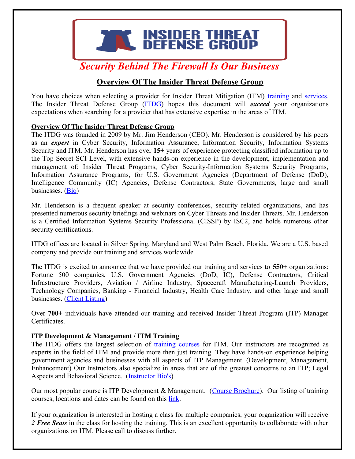

# *Security Behind The Firewall Is Our Business*

# **Overview Of The Insider Threat Defense Group**

You have choices when selecting a provider for Insider Threat Mitigation (ITM) [training](https://www.insiderthreatdefense.us/insider-threat-defense-group-training/) and [services.](https://www.insiderthreatdefense.us/insider-threat-defense-group-consulting) The Insider Threat Defense Group [\(ITDG\)](https://www.insiderthreatdefense.us/) hopes this document will *exceed* your organizations expectations when searching for a provider that has extensive expertise in the areas of ITM.

#### **Overview Of The Insider Threat Defense Group**

The ITDG was founded in 2009 by Mr. Jim Henderson (CEO). Mr. Henderson is considered by his peers as an *expert* in Cyber Security, Information Assurance, Information Security, Information Systems Security and ITM. Mr. Henderson has over **15+** years of experience protecting classified information up to the Top Secret SCI Level, with extensive hands-on experience in the development, implementation and management of; Insider Threat Programs, Cyber Security-Information Systems Security Programs, Information Assurance Programs, for U.S. Government Agencies (Department of Defense (DoD), Intelligence Community (IC) Agencies, Defense Contractors, State Governments, large and small businesses. [\(Bio\)](https://www.insiderthreatdefense.us/wp-content/uploads/2019/07/bio-for-james-henderson-insider-threat-program-management-manager-analyst.pdf)

Mr. Henderson is a frequent speaker at security conferences, security related organizations, and has presented numerous security briefings and webinars on Cyber Threats and Insider Threats. Mr. Henderson is a Certified Information Systems Security Professional (CISSP) by ISC2, and holds numerous other security certifications.

ITDG offices are located in Silver Spring, Maryland and West Palm Beach, Florida. We are a U.S. based company and provide our training and services worldwide.

The ITDG is excited to announce that we have provided our training and services to **550+** organizations; Fortune 500 companies, U.S. Government Agencies (DoD, IC), Defense Contractors, Critical Infrastructure Providers, Aviation / Airline Industry, Spacecraft Manufacturing-Launch Providers, Technology Companies, Banking - Financial Industry, Health Care Industry, and other large and small businesses. [\(Client Listing\)](https://www.insiderthreatdefense.us/wp-content/uploads/2019/06/insider-threat-defense-group-client-listing.pdf)

Over **700+** individuals have attended our training and received Insider Threat Program (ITP) Manager Certificates.

# **ITP Development & Management / ITM Training**

The ITDG offers the largest selection of [training courses](https://www.insiderthreatdefense.us/insider-threat-defense-group-training/) for ITM. Our instructors are recognized as experts in the field of ITM and provide more then just training. They have hands-on experience helping government agencies and businesses with all aspects of ITP Management. (Development, Management, Enhancement) Our Instructors also specialize in areas that are of the greatest concerns to an ITP; Legal Aspects and Behavioral Science. [\(Instructor Bio's\)](https://www.insiderthreatdefense.us/about-us)

Our most popular course is ITP Development & Management. [\(Course Brochure\)](https://www.insiderthreatdefense.us/wp-content/uploads/2019/03/insider-threat-program-development-management-training-course-brochure.pdf). Our listing of training courses, locations and dates can be found on this [link.](https://www.insiderthreatdefense.us/insider-threat-defense-group-training/)

If your organization is interested in hosting a class for multiple companies, your organization will receive *2 Free Seats* in the class for hosting the training. This is an excellent opportunity to collaborate with other organizations on ITM. Please call to discuss further.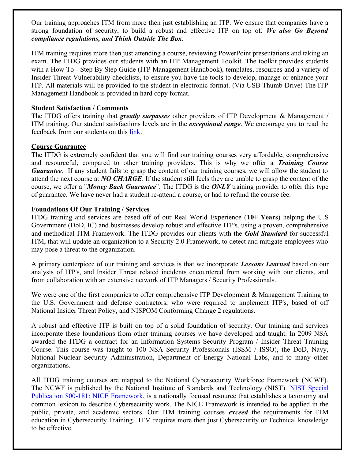Our training approaches ITM from more then just establishing an ITP. We ensure that companies have a strong foundation of security, to build a robust and effective ITP on top of. *We also Go Beyond compliance regulations, and Think Outside The Box.*

ITM training requires more then just attending a course, reviewing PowerPoint presentations and taking an exam. The ITDG provides our students with an ITP Management Toolkit. The toolkit provides students with a How To - Step By Step Guide (ITP Management Handbook), templates, resources and a variety of Insider Threat Vulnerability checklists, to ensure you have the tools to develop, manage or enhance your ITP. All materials will be provided to the student in electronic format. (Via USB Thumb Drive) The ITP Management Handbook is provided in hard copy format.

#### **Student Satisfaction / Comments**

The ITDG offers training that *greatly surpasses* other providers of ITP Development & Management / ITM training. Our student satisfactions levels are in the *exceptional range*. We encourage you to read the feedback from our students on this [link.](https://www.insiderthreatdefense.us/wp-content/uploads/2019/02/itp-training-course-student-evaluations-and-comments.pdf)

#### **Course Guarantee**

The ITDG is extremely confident that you will find our training courses very affordable, comprehensive and resourceful, compared to other training providers. This is why we offer a *Training Course Guarantee*. If any student fails to grasp the content of our training courses, we will allow the student to attend the next course at *NO CHARGE*. If the student still feels they are unable to grasp the content of the course, we offer a "*Money Back Guarantee*". The ITDG is the *ONLY* training provider to offer this type of guarantee. We have never had a student re-attend a course, or had to refund the course fee.

#### **Foundations Of Our Training / Services**

ITDG training and services are based off of our Real World Experience (**10+ Years**) helping the U.S Government (DoD, IC) and businesses develop robust and effective ITP's, using a proven, comprehensive and methodical ITM Framework. The ITDG provides our clients with the *Gold Standard* for successful ITM, that will update an organization to a Security 2.0 Framework, to detect and mitigate employees who may pose a threat to the organization.

A primary centerpiece of our training and services is that we incorporate *Lessons Learned* based on our analysis of ITP's, and Insider Threat related incidents encountered from working with our clients, and from collaboration with an extensive network of ITP Managers / Security Professionals.

We were one of the first companies to offer comprehensive ITP Development & Management Training to the U.S. Government and defense contractors, who were required to implement ITP's, based of off National Insider Threat Policy, and NISPOM Conforming Change 2 regulations.

A robust and effective ITP is built on top of a solid foundation of security. Our training and services incorporate these foundations from other training courses we have developed and taught. In 2009 NSA awarded the ITDG a contract for an Information Systems Security Program / Insider Threat Training Course. This course was taught to 100 NSA Security Professionals (ISSM / ISSO), the DoD, Navy, National Nuclear Security Administration, Department of Energy National Labs, and to many other organizations.

All ITDG training courses are mapped to the National Cybersecurity Workforce Framework (NCWF). The NCWF is published by the National Institute of Standards and Technology (NIST). [NIST Special](https://csrc.nist.gov/publications/detail/sp/800-181/final) [Publication 800-181: NICE Framework,](https://csrc.nist.gov/publications/detail/sp/800-181/final) is a nationally focused resource that establishes a taxonomy and common lexicon to describe Cybersecurity work. The NICE Framework is intended to be applied in the public, private, and academic sectors. Our ITM training courses *exceed* the requirements for ITM education in Cybersecurity Training. ITM requires more then just Cybersecurity or Technical knowledge to be effective.